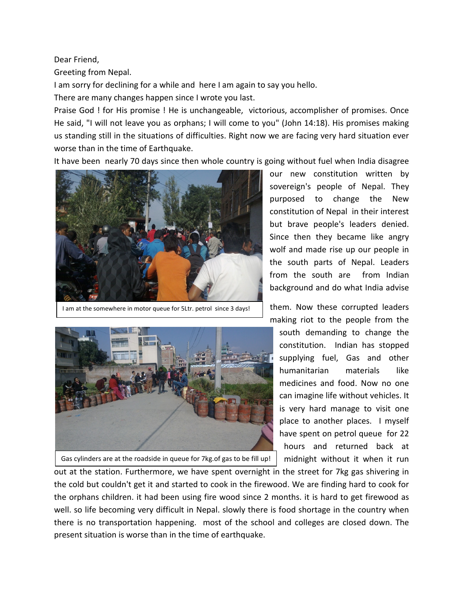Dear Friend,

Greeting from Nepal.

I am sorry for declining for a while and here I am again to say you hello.

There are many changes happen since I wrote you last.

Praise God ! for His promise ! He is unchangeable, victorious, accomplisher of promises. Once He said, "I will not leave you as orphans; I will come to you" (John 14:18). His promises making us standing still in the situations of difficulties. Right now we are facing very hard situation ever worse than in the time of Earthquake.

It have been nearly 70 days since then whole country is going without fuel when India disagree



I am at the somewhere in motor queue for 5Ltr. petrol since 3 days!



Gas cylinders are at the roadside in queue for 7kg.of gas to be fill up!

our new constitution written by sovereign's people of Nepal. They purposed to change the New constitution of Nepal in their interest but brave people's leaders denied. Since then they became like angry wolf and made rise up our people in the south parts of Nepal. Leaders from the south are from Indian background and do what India advise

them. Now these corrupted leaders making riot to the people from the

south demanding to change the constitution. Indian has stopped supplying fuel, Gas and other humanitarian materials like medicines and food. Now no one can imagine life without vehicles. It is very hard manage to visit one place to another places. I myself have spent on petrol queue for 22 hours and returned back at midnight without it when it run

out at the station. Furthermore, we have spent overnight in the street for 7kg gas shivering in the cold but couldn't get it and started to cook in the firewood. We are finding hard to cook for the orphans children. it had been using fire wood since 2 months. it is hard to get firewood as well. so life becoming very difficult in Nepal. slowly there is food shortage in the country when there is no transportation happening. most of the school and colleges are closed down. The present situation is worse than in the time of earthquake.